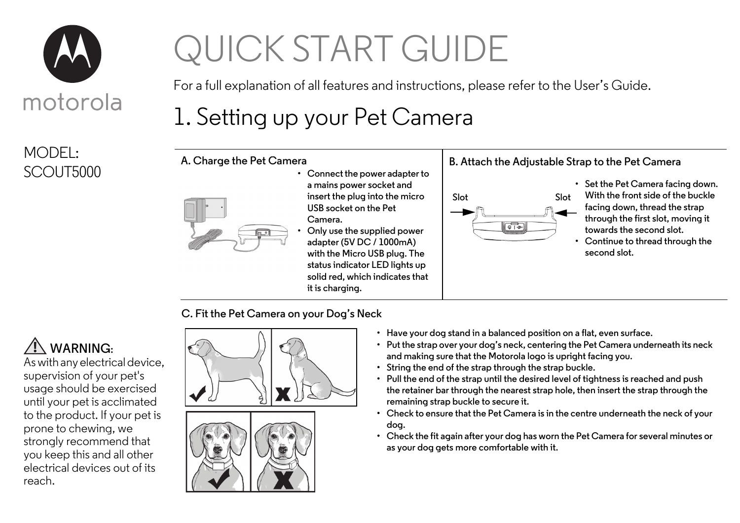

MODEL: SCOUT5000

# QUICK START GUIDE

For a full explanation of all features and instructions, please refer to the User's Guide.

# 1. Setting up your Pet Camera

**A. Charge the Pet Camera**



**• Connect the power adapter to a mains power socket and insert the plug into the micro USB socket on the Pet Camera.** 

**• Only use the supplied power adapter (5V DC / 1000mA) with the Micro USB plug. The status indicator LED lights up solid red, which indicates that it is charging.**





**• Set the Pet Camera facing down. With the front side of the buckle facing down, thread the strap through the first slot, moving it towards the second slot.**

**• Continue to thread through the second slot.**

**C. Fit the Pet Camera on your Dog's Neck**

### **WARNING:**

As with any electrical device, supervision of your pet's usage should be exercised until your pet is acclimated to the product. If your pet is prone to chewing, we strongly recommend that you keep this and all other electrical devices out of its reach.



- **Have your dog stand in a balanced position on a flat, even surface.**
- **Put the strap over your dog's neck, centering the Pet Camera underneath its neck and making sure that the Motorola logo is upright facing you.**
- **String the end of the strap through the strap buckle.**
- **Pull the end of the strap until the desired level of tightness is reached and push the retainer bar through the nearest strap hole, then insert the strap through the remaining strap buckle to secure it.**
- **Check to ensure that the Pet Camera is in the centre underneath the neck of your dog.**
- **Check the fit again after your dog has worn the Pet Camera for several minutes or as your dog gets more comfortable with it.**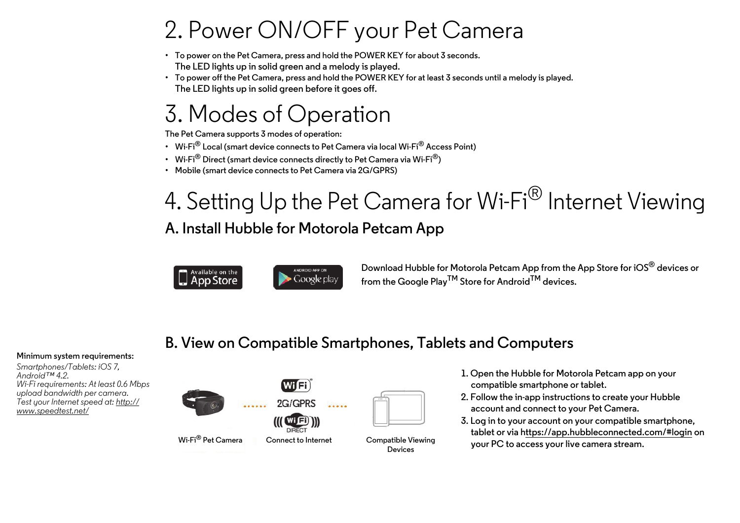## 2. Power ON/OFF your Pet Camera

- **To power on the Pet Camera, press and hold the POWER KEY for about 3 seconds. The LED lights up in solid green and a melody is played.**
- **To power off the Pet Camera, press and hold the POWER KEY for at least 3 seconds until a melody is played. The LED lights up in solid green before it goes off.**

### 3. Modes of Operation

**The Pet Camera supports 3 modes of operation:** 

- **Wi-Fi® Local (smart device connects to Pet Camera via local Wi-Fi® Access Point)**
- **Wi-Fi® Direct (smart device connects directly to Pet Camera via Wi-Fi®)**
- **Mobile (smart device connects to Pet Camera via 2G/GPRS)**

## 4. Setting Up the Pet Camera for Wi-Fi<sup>®</sup> Internet Viewing **A. Install Hubble for Motorola Petcam App**





**Download Hubble for Motorola Petcam App from the App Store for iOS® devices or from the Google PlayTM Store for AndroidTM devices.**

### **B. View on Compatible Smartphones, Tablets and Computers**

#### **Minimum system requirements:**

*Smartphones/Tablets: iOS 7, Android™ 4.2. Wi-Fi requirements: At least 0.6 Mbps upload bandwidth per camera. Test your Internet speed at: http:// www.speedtest.net/*



- **1. Open the Hubble for Motorola Petcam app on your compatible smartphone or tablet.**
- **2. Follow the in-app instructions to create your Hubble account and connect to your Pet Camera.**
- **3. Log in to your account on your compatible smartphone, tablet or via https://app.hubbleconnected.com/#login on your PC to access your live camera stream.**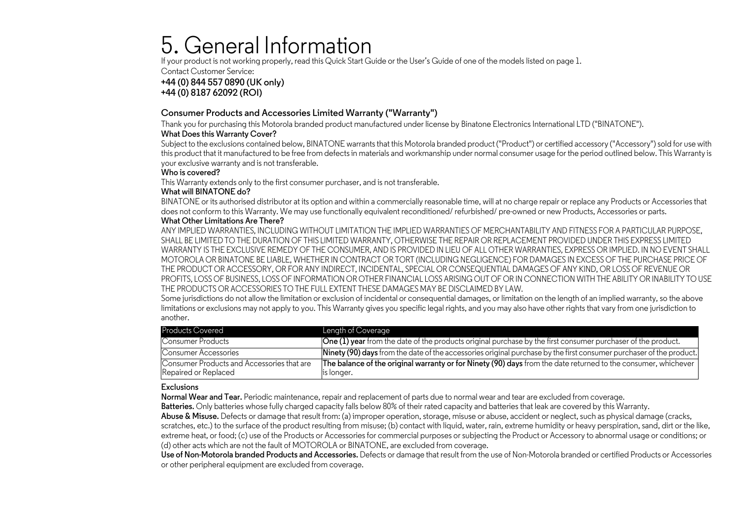### 5. General Information

If your product is not working properly, read this Quick Start Guide or the User's Guide of one of the models listed on page 1.

Contact Customer Service:

**+44 (0) 844 557 0890 (UK only) +44 (0) 8187 62092 (ROI)**

#### **Consumer Products and Accessories Limited Warranty ("Warranty")**

Thank you for purchasing this Motorola branded product manufactured under license by Binatone Electronics International LTD ("BINATONE").

#### **What Does this Warranty Cover?**

Subject to the exclusions contained below, BINATONE warrants that this Motorola branded product ("Product") or certified accessory ("Accessory") sold for use with this product that it manufactured to be free from defects in materials and workmanship under normal consumer usage for the period outlined below. This Warranty is your exclusive warranty and is not transferable.

#### **Who is covered?**

This Warranty extends only to the first consumer purchaser, and is not transferable.

#### **What will BINATONE do?**

BINATONE or its authorised distributor at its option and within a commercially reasonable time, will at no charge repair or replace any Products or Accessories that does not conform to this Warranty. We may use functionally equivalent reconditioned/ refurbished/ pre-owned or new Products, Accessories or parts.

#### **What Other Limitations Are There?**

ANY IMPLIED WARRANTIES, INCLUDING WITHOUT LIMITATION THE IMPLIED WARRANTIES OF MERCHANTABILITY AND FITNESS FOR A PARTICULAR PURPOSE, SHALL BE LIMITED TO THE DURATION OF THIS LIMITED WARRANTY, OTHERWISE THE REPAIR OR REPLACEMENT PROVIDED UNDER THIS EXPRESS LIMITED WARRANTY IS THE EXCLUSIVE REMEDY OF THE CONSUMER, AND IS PROVIDED IN LIEU OF ALL OTHER WARRANTIES, EXPRESS OR IMPLIED. IN NO EVENT SHALL MOTOROLA OR BINATONE BE LIABLE, WHETHER IN CONTRACT OR TORT (INCLUDING NEGLIGENCE) FOR DAMAGES IN EXCESS OF THE PURCHASE PRICE OF THE PRODUCT OR ACCESSORY, OR FOR ANY INDIRECT, INCIDENTAL, SPECIAL OR CONSEQUENTIAL DAMAGES OF ANY KIND, OR LOSS OF REVENUE OR PROFITS, LOSS OF BUSINESS, LOSS OF INFORMATION OR OTHER FINANCIAL LOSS ARISING OUT OF OR IN CONNECTION WITH THE ABILITY OR INABILITY TO USE THE PRODUCTS OR ACCESSORIES TO THE FULL EXTENT THESE DAMAGES MAY BE DISCLAIMED BY LAW.

Some jurisdictions do not allow the limitation or exclusion of incidental or consequential damages, or limitation on the length of an implied warranty, so the above limitations or exclusions may not apply to you. This Warranty gives you specific legal rights, and you may also have other rights that vary from one jurisdiction to another.

| <b>Products Covered</b>                                            | Length of Coverage                                                                                                  |
|--------------------------------------------------------------------|---------------------------------------------------------------------------------------------------------------------|
| Consumer Products                                                  | <b>One (1) year</b> from the date of the products original purchase by the first consumer purchaser of the product. |
| Consumer Accessories                                               | Ninety (90) days from the date of the accessories original purchase by the first consumer purchaser of the product. |
| Consumer Products and Accessories that are<br>Repaired or Replaced | The balance of the original warranty or for Ninety (90) days from the date returned to the consumer, whichever      |
|                                                                    | is longer.                                                                                                          |

#### **Exclusions**

**Normal Wear and Tear.** Periodic maintenance, repair and replacement of parts due to normal wear and tear are excluded from coverage.

**Batteries.** Only batteries whose fully charged capacity falls below 80% of their rated capacity and batteries that leak are covered by this Warranty.

**Abuse & Misuse.** Defects or damage that result from: (a) improper operation, storage, misuse or abuse, accident or neglect, such as physical damage (cracks, scratches, etc.) to the surface of the product resulting from misuse; (b) contact with liquid, water, rain, extreme humidity or heavy perspiration, sand, dirt or the like, extreme heat, or food; (c) use of the Products or Accessories for commercial purposes or subjecting the Product or Accessory to abnormal usage or conditions; or (d) other acts which are not the fault of MOTOROLA or BINATONE, are excluded from coverage.

**Use of Non-Motorola branded Products and Accessories.** Defects or damage that result from the use of Non-Motorola branded or certified Products or Accessories or other peripheral equipment are excluded from coverage.